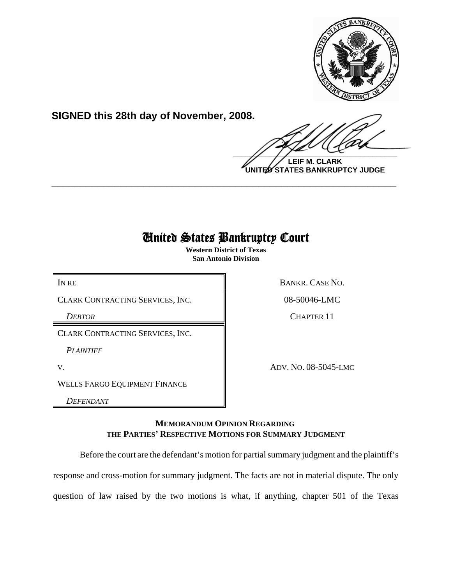

**SIGNED this 28th day of November, 2008.**

 $\frac{1}{2}$ 

**LEIF M. CLARK UNITED STATES BANKRUPTCY JUDGE**

# United States Bankruptcy Court

**\_\_\_\_\_\_\_\_\_\_\_\_\_\_\_\_\_\_\_\_\_\_\_\_\_\_\_\_\_\_\_\_\_\_\_\_\_\_\_\_\_\_\_\_\_\_\_\_\_\_\_\_\_\_\_\_\_\_\_\_**

**Western District of Texas San Antonio Division**

CLARK CONTRACTING SERVICES, INC.  $\parallel$  08-50046-LMC

CLARK CONTRACTING SERVICES, INC.

*PLAINTIFF*

WELLS FARGO EQUIPMENT FINANCE

*DEFENDANT*

IN RE BANKR. CASE NO.

**DEBTOR** CHAPTER 11

V. ADV. NO. 08-5045-LMC

# **MEMORANDUM OPINION REGARDING THE PARTIES' RESPECTIVE MOTIONS FOR SUMMARY JUDGMENT**

Before the court are the defendant's motion for partial summary judgment and the plaintiff's

response and cross-motion for summary judgment. The facts are not in material dispute. The only

question of law raised by the two motions is what, if anything, chapter 501 of the Texas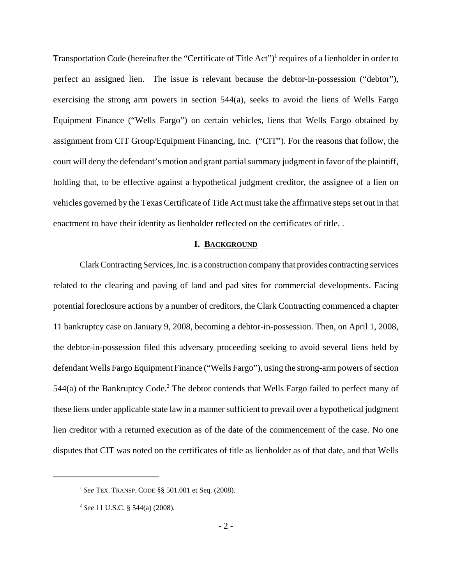Transportation Code (hereinafter the "Certificate of Title Act")<sup>1</sup> requires of a lienholder in order to perfect an assigned lien. The issue is relevant because the debtor-in-possession ("debtor"), exercising the strong arm powers in section 544(a), seeks to avoid the liens of Wells Fargo Equipment Finance ("Wells Fargo") on certain vehicles, liens that Wells Fargo obtained by assignment from CIT Group/Equipment Financing, Inc. ("CIT"). For the reasons that follow, the court will deny the defendant's motion and grant partial summary judgment in favor of the plaintiff, holding that, to be effective against a hypothetical judgment creditor, the assignee of a lien on vehicles governed by the Texas Certificate of Title Act must take the affirmative steps set out in that enactment to have their identity as lienholder reflected on the certificates of title. .

#### **I. BACKGROUND**

Clark Contracting Services, Inc. is a construction company that provides contracting services related to the clearing and paving of land and pad sites for commercial developments. Facing potential foreclosure actions by a number of creditors, the Clark Contracting commenced a chapter 11 bankruptcy case on January 9, 2008, becoming a debtor-in-possession. Then, on April 1, 2008, the debtor-in-possession filed this adversary proceeding seeking to avoid several liens held by defendant Wells Fargo Equipment Finance ("Wells Fargo"), using the strong-arm powers of section  $544(a)$  of the Bankruptcy Code.<sup>2</sup> The debtor contends that Wells Fargo failed to perfect many of these liens under applicable state law in a manner sufficient to prevail over a hypothetical judgment lien creditor with a returned execution as of the date of the commencement of the case. No one disputes that CIT was noted on the certificates of title as lienholder as of that date, and that Wells

<sup>1</sup> *See* TEX. TRANSP. CODE §§ 501.001 et Seq. (2008).

<sup>2</sup> *See* 11 U.S.C. § 544(a) (2008).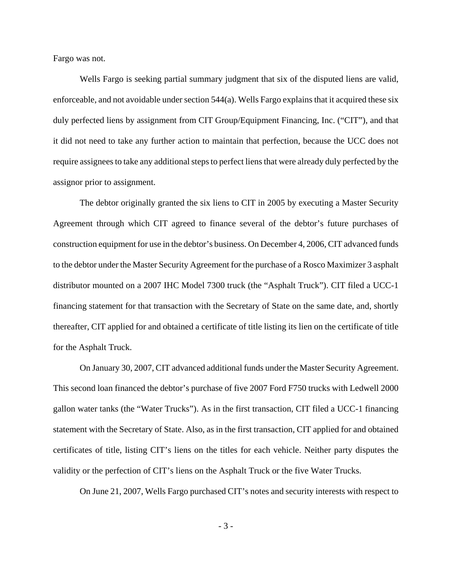Fargo was not.

Wells Fargo is seeking partial summary judgment that six of the disputed liens are valid, enforceable, and not avoidable under section  $544(a)$ . Wells Fargo explains that it acquired these six duly perfected liens by assignment from CIT Group/Equipment Financing, Inc. ("CIT"), and that it did not need to take any further action to maintain that perfection, because the UCC does not require assignees to take any additional steps to perfect liens that were already duly perfected by the assignor prior to assignment.

The debtor originally granted the six liens to CIT in 2005 by executing a Master Security Agreement through which CIT agreed to finance several of the debtor's future purchases of construction equipment for use in the debtor's business. On December 4, 2006, CIT advanced funds to the debtor under the Master Security Agreement for the purchase of a Rosco Maximizer 3 asphalt distributor mounted on a 2007 IHC Model 7300 truck (the "Asphalt Truck"). CIT filed a UCC-1 financing statement for that transaction with the Secretary of State on the same date, and, shortly thereafter, CIT applied for and obtained a certificate of title listing its lien on the certificate of title for the Asphalt Truck.

On January 30, 2007, CIT advanced additional funds under the Master Security Agreement. This second loan financed the debtor's purchase of five 2007 Ford F750 trucks with Ledwell 2000 gallon water tanks (the "Water Trucks"). As in the first transaction, CIT filed a UCC-1 financing statement with the Secretary of State. Also, as in the first transaction, CIT applied for and obtained certificates of title, listing CIT's liens on the titles for each vehicle. Neither party disputes the validity or the perfection of CIT's liens on the Asphalt Truck or the five Water Trucks.

On June 21, 2007, Wells Fargo purchased CIT's notes and security interests with respect to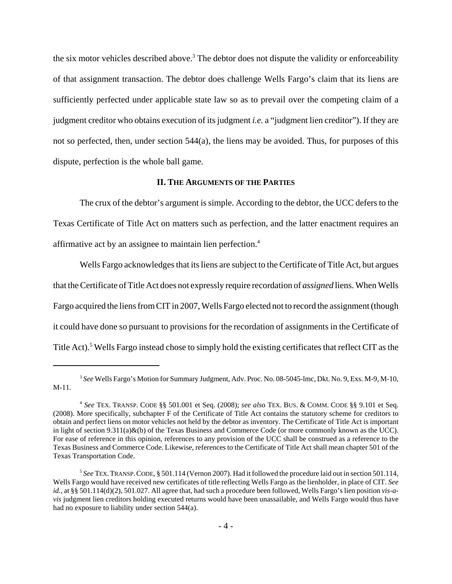the six motor vehicles described above.<sup>3</sup> The debtor does not dispute the validity or enforceability of that assignment transaction. The debtor does challenge Wells Fargo's claim that its liens are sufficiently perfected under applicable state law so as to prevail over the competing claim of a judgment creditor who obtains execution of its judgment *i.e.* a "judgment lien creditor"). If they are not so perfected, then, under section 544(a), the liens may be avoided. Thus, for purposes of this dispute, perfection is the whole ball game.

# **II. THE ARGUMENTS OF THE PARTIES**

The crux of the debtor's argument is simple. According to the debtor, the UCC defers to the Texas Certificate of Title Act on matters such as perfection, and the latter enactment requires an affirmative act by an assignee to maintain lien perfection.4

Wells Fargo acknowledges that its liens are subject to the Certificate of Title Act, but argues that the Certificate of Title Act does not expressly require recordation of *assigned* liens. When Wells Fargo acquired the liens from CIT in 2007, Wells Fargo elected not to record the assignment (though it could have done so pursuant to provisions for the recordation of assignments in the Certificate of Title Act).<sup>5</sup> Wells Fargo instead chose to simply hold the existing certificates that reflect CIT as the

<sup>3</sup> *See* Wells Fargo's Motion for Summary Judgment, Adv. Proc. No. 08-5045-lmc, Dkt. No. 9, Exs. M-9, M-10, M-11.

<sup>4</sup> *See* TEX. TRANSP. CODE §§ 501.001 et Seq. (2008); *see als*o TEX. BUS. & COMM. CODE §§ 9.101 et Seq. (2008). More specifically, subchapter F of the Certificate of Title Act contains the statutory scheme for creditors to obtain and perfect liens on motor vehicles not held by the debtor as inventory. The Certificate of Title Act is important in light of section  $9.311(a)\&(b)$  of the Texas Business and Commerce Code (or more commonly known as the UCC). For ease of reference in this opinion, references to any provision of the UCC shall be construed as a reference to the Texas Business and Commerce Code. Likewise, references to the Certificate of Title Act shall mean chapter 501 of the Texas Transportation Code.

<sup>5</sup> *See* TEX.TRANSP.CODE, § 501.114 (Vernon 2007). Had it followed the procedure laid out in section 501.114, Wells Fargo would have received new certificates of title reflecting Wells Fargo as the lienholder, in place of CIT. *See id.*, at §§ 501.114(d)(2), 501.027. All agree that, had such a procedure been followed, Wells Fargo's lien position *vis-avis* judgment lien creditors holding executed returns would have been unassailable, and Wells Fargo would thus have had no exposure to liability under section 544(a).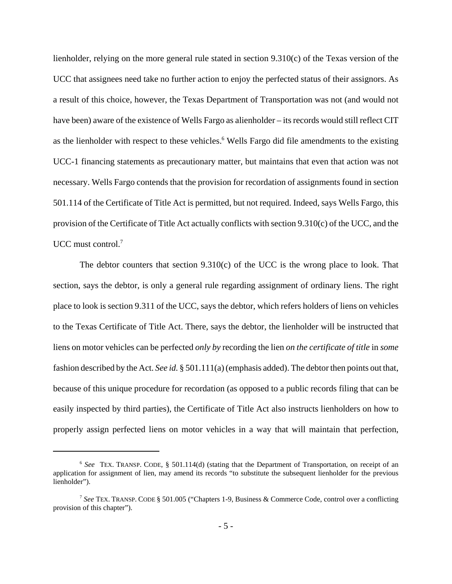lienholder, relying on the more general rule stated in section 9.310(c) of the Texas version of the UCC that assignees need take no further action to enjoy the perfected status of their assignors. As a result of this choice, however, the Texas Department of Transportation was not (and would not have been) aware of the existence of Wells Fargo as alienholder – its records would still reflect CIT as the lienholder with respect to these vehicles.<sup>6</sup> Wells Fargo did file amendments to the existing UCC-1 financing statements as precautionary matter, but maintains that even that action was not necessary. Wells Fargo contends that the provision for recordation of assignments found in section 501.114 of the Certificate of Title Act is permitted, but not required. Indeed, says Wells Fargo, this provision of the Certificate of Title Act actually conflicts with section 9.310(c) of the UCC, and the UCC must control.<sup>7</sup>

The debtor counters that section  $9.310(c)$  of the UCC is the wrong place to look. That section, says the debtor, is only a general rule regarding assignment of ordinary liens. The right place to look is section 9.311 of the UCC, says the debtor, which refers holders of liens on vehicles to the Texas Certificate of Title Act. There, says the debtor, the lienholder will be instructed that liens on motor vehicles can be perfected *only by* recording the lien *on the certificate of title* in *some* fashion described by the Act. *See id.* § 501.111(a) (emphasis added). The debtor then points out that, because of this unique procedure for recordation (as opposed to a public records filing that can be easily inspected by third parties), the Certificate of Title Act also instructs lienholders on how to properly assign perfected liens on motor vehicles in a way that will maintain that perfection,

<sup>6</sup> *See* TEX. TRANSP. CODE, § 501.114(d) (stating that the Department of Transportation, on receipt of an application for assignment of lien, may amend its records "to substitute the subsequent lienholder for the previous lienholder").

<sup>7</sup>  *See* TEX. TRANSP. CODE § 501.005 ("Chapters 1-9, Business & Commerce Code, control over a conflicting provision of this chapter").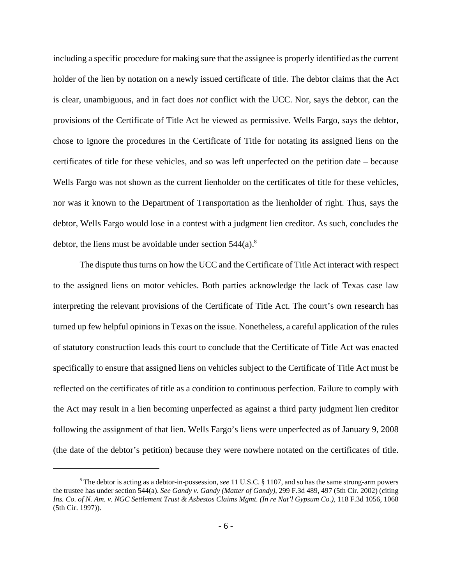including a specific procedure for making sure that the assignee is properly identified as the current holder of the lien by notation on a newly issued certificate of title. The debtor claims that the Act is clear, unambiguous, and in fact does *not* conflict with the UCC. Nor, says the debtor, can the provisions of the Certificate of Title Act be viewed as permissive. Wells Fargo, says the debtor, chose to ignore the procedures in the Certificate of Title for notating its assigned liens on the certificates of title for these vehicles, and so was left unperfected on the petition date – because Wells Fargo was not shown as the current lienholder on the certificates of title for these vehicles, nor was it known to the Department of Transportation as the lienholder of right. Thus, says the debtor, Wells Fargo would lose in a contest with a judgment lien creditor. As such, concludes the debtor, the liens must be avoidable under section  $544(a)$ .<sup>8</sup>

The dispute thus turns on how the UCC and the Certificate of Title Act interact with respect to the assigned liens on motor vehicles. Both parties acknowledge the lack of Texas case law interpreting the relevant provisions of the Certificate of Title Act. The court's own research has turned up few helpful opinions in Texas on the issue. Nonetheless, a careful application of the rules of statutory construction leads this court to conclude that the Certificate of Title Act was enacted specifically to ensure that assigned liens on vehicles subject to the Certificate of Title Act must be reflected on the certificates of title as a condition to continuous perfection. Failure to comply with the Act may result in a lien becoming unperfected as against a third party judgment lien creditor following the assignment of that lien. Wells Fargo's liens were unperfected as of January 9, 2008 (the date of the debtor's petition) because they were nowhere notated on the certificates of title.

<sup>8</sup> The debtor is acting as a debtor-in-possession, *see* 11 U.S.C. § 1107, and so has the same strong-arm powers the trustee has under section 544(a). *See Gandy v. Gandy (Matter of Gandy),* 299 F.3d 489, 497 (5th Cir. 2002) (citing *Ins. Co. of N. Am. v. NGC Settlement Trust & Asbestos Claims Mgmt. (In re Nat'l Gypsum Co.),* 118 F.3d 1056, 1068 (5th Cir. 1997)).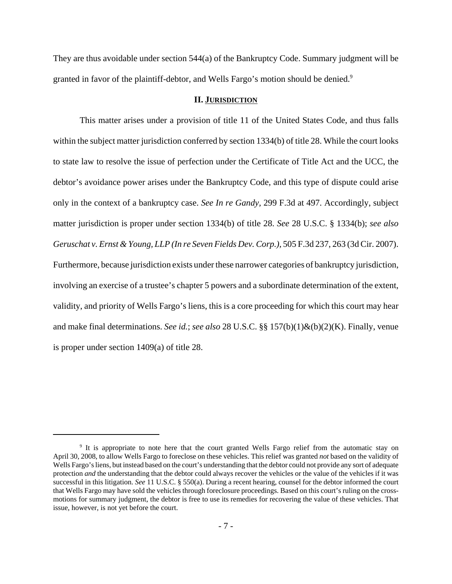They are thus avoidable under section 544(a) of the Bankruptcy Code. Summary judgment will be granted in favor of the plaintiff-debtor, and Wells Fargo's motion should be denied.<sup>9</sup>

#### **II. JURISDICTION**

This matter arises under a provision of title 11 of the United States Code, and thus falls within the subject matter jurisdiction conferred by section 1334(b) of title 28. While the court looks to state law to resolve the issue of perfection under the Certificate of Title Act and the UCC, the debtor's avoidance power arises under the Bankruptcy Code, and this type of dispute could arise only in the context of a bankruptcy case. *See In re Gandy,* 299 F.3d at 497. Accordingly, subject matter jurisdiction is proper under section 1334(b) of title 28. *See* 28 U.S.C. § 1334(b); *see also Geruschat v. Ernst & Young, LLP (In re Seven Fields Dev. Corp.),* 505 F.3d 237, 263 (3d Cir. 2007). Furthermore, because jurisdiction exists under these narrower categories of bankruptcy jurisdiction, involving an exercise of a trustee's chapter 5 powers and a subordinate determination of the extent, validity, and priority of Wells Fargo's liens, this is a core proceeding for which this court may hear and make final determinations. *See id.*; *see also* 28 U.S.C. §§ 157(b)(1)&(b)(2)(K). Finally, venue is proper under section 1409(a) of title 28.

<sup>&</sup>lt;sup>9</sup> It is appropriate to note here that the court granted Wells Fargo relief from the automatic stay on April 30, 2008, to allow Wells Fargo to foreclose on these vehicles. This relief was granted *not* based on the validity of Wells Fargo's liens, but instead based on the court's understanding that the debtor could not provide any sort of adequate protection *and* the understanding that the debtor could always recover the vehicles or the value of the vehicles if it was successful in this litigation. *See* 11 U.S.C. § 550(a). During a recent hearing, counsel for the debtor informed the court that Wells Fargo may have sold the vehicles through foreclosure proceedings. Based on this court's ruling on the crossmotions for summary judgment, the debtor is free to use its remedies for recovering the value of these vehicles. That issue, however, is not yet before the court.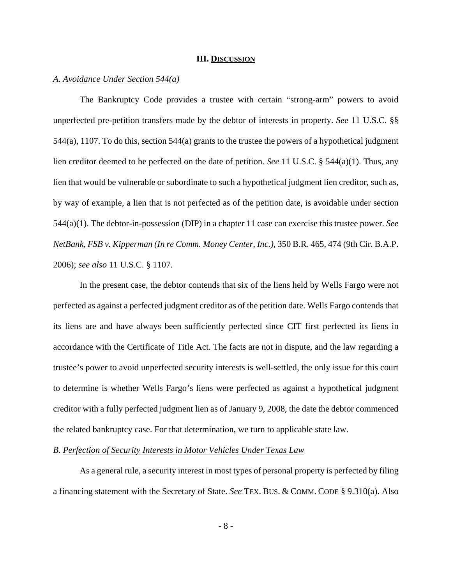#### **III. DISCUSSION**

## *A. Avoidance Under Section 544(a)*

The Bankruptcy Code provides a trustee with certain "strong-arm" powers to avoid unperfected pre-petition transfers made by the debtor of interests in property. *See* 11 U.S.C. §§ 544(a), 1107. To do this, section 544(a) grants to the trustee the powers of a hypothetical judgment lien creditor deemed to be perfected on the date of petition. *See* 11 U.S.C. § 544(a)(1). Thus, any lien that would be vulnerable or subordinate to such a hypothetical judgment lien creditor, such as, by way of example, a lien that is not perfected as of the petition date, is avoidable under section 544(a)(1). The debtor-in-possession (DIP) in a chapter 11 case can exercise this trustee power. *See NetBank, FSB v. Kipperman (In re Comm. Money Center, Inc.),* 350 B.R. 465, 474 (9th Cir. B.A.P. 2006); *see also* 11 U.S.C. § 1107.

In the present case, the debtor contends that six of the liens held by Wells Fargo were not perfected as against a perfected judgment creditor as of the petition date. Wells Fargo contends that its liens are and have always been sufficiently perfected since CIT first perfected its liens in accordance with the Certificate of Title Act. The facts are not in dispute, and the law regarding a trustee's power to avoid unperfected security interests is well-settled, the only issue for this court to determine is whether Wells Fargo's liens were perfected as against a hypothetical judgment creditor with a fully perfected judgment lien as of January 9, 2008, the date the debtor commenced the related bankruptcy case. For that determination, we turn to applicable state law.

## *B. Perfection of Security Interests in Motor Vehicles Under Texas Law*

As a general rule, a security interest in most types of personal property is perfected by filing a financing statement with the Secretary of State. *See* TEX. BUS. & COMM. CODE § 9.310(a). Also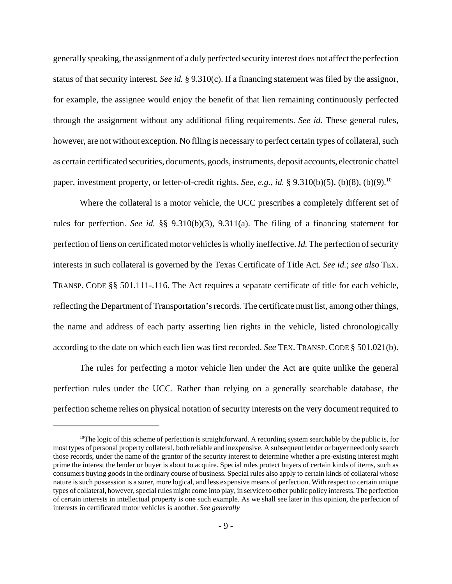generally speaking, the assignment of a duly perfected security interest does not affect the perfection status of that security interest. *See id.* § 9.310(c). If a financing statement was filed by the assignor, for example, the assignee would enjoy the benefit of that lien remaining continuously perfected through the assignment without any additional filing requirements. *See id.* These general rules, however, are not without exception. No filing is necessary to perfect certain types of collateral, such as certain certificated securities, documents, goods, instruments, deposit accounts, electronic chattel paper, investment property, or letter-of-credit rights. *See, e.g., id.* § 9.310(b)(5), (b)(8), (b)(9).<sup>10</sup>

Where the collateral is a motor vehicle, the UCC prescribes a completely different set of rules for perfection. *See id.* §§ 9.310(b)(3), 9.311(a). The filing of a financing statement for perfection of liens on certificated motor vehicles is wholly ineffective. *Id.* The perfection of security interests in such collateral is governed by the Texas Certificate of Title Act. *See id.*; *see also* TEX. TRANSP. CODE §§ 501.111-.116. The Act requires a separate certificate of title for each vehicle, reflecting the Department of Transportation's records. The certificate must list, among other things, the name and address of each party asserting lien rights in the vehicle, listed chronologically according to the date on which each lien was first recorded. *See* TEX. TRANSP. CODE § 501.021(b).

The rules for perfecting a motor vehicle lien under the Act are quite unlike the general perfection rules under the UCC. Rather than relying on a generally searchable database, the perfection scheme relies on physical notation of security interests on the very document required to

<sup>&</sup>lt;sup>10</sup>The logic of this scheme of perfection is straightforward. A recording system searchable by the public is, for most types of personal property collateral, both reliable and inexpensive. A subsequent lender or buyer need only search those records, under the name of the grantor of the security interest to determine whether a pre-existing interest might prime the interest the lender or buyer is about to acquire. Special rules protect buyers of certain kinds of items, such as consumers buying goods in the ordinary course of business. Special rules also apply to certain kinds of collateral whose nature is such possession is a surer, more logical, and less expensive means of perfection. With respect to certain unique types of collateral, however, special rules might come into play, in service to other public policy interests. The perfection of certain interests in intellectual property is one such example. As we shall see later in this opinion, the perfection of interests in certificated motor vehicles is another. *See generally*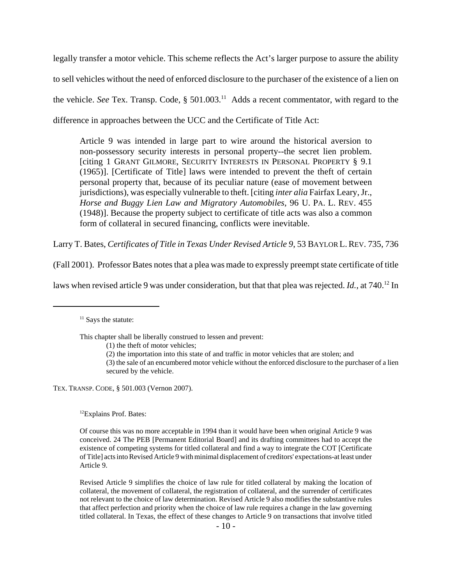legally transfer a motor vehicle. This scheme reflects the Act's larger purpose to assure the ability to sell vehicles without the need of enforced disclosure to the purchaser of the existence of a lien on the vehicle. *See* Tex. Transp. Code, § 501.003.<sup>11</sup> Adds a recent commentator, with regard to the difference in approaches between the UCC and the Certificate of Title Act:

Article 9 was intended in large part to wire around the historical aversion to non-possessory security interests in personal property--the secret lien problem. [citing 1 GRANT GILMORE, SECURITY INTERESTS IN PERSONAL PROPERTY § 9.1 (1965)]. [Certificate of Title] laws were intended to prevent the theft of certain personal property that, because of its peculiar nature (ease of movement between jurisdictions), was especially vulnerable to theft. [citing *inter alia* Fairfax Leary, Jr., *Horse and Buggy Lien Law and Migratory Automobiles*, 96 U. PA. L. REV. 455 (1948)]. Because the property subject to certificate of title acts was also a common form of collateral in secured financing, conflicts were inevitable.

Larry T. Bates, *Certificates of Title in Texas Under Revised Article 9*, 53 BAYLOR L.REV. 735, 736

(Fall 2001). Professor Bates notes that a plea was made to expressly preempt state certificate of title

laws when revised article 9 was under consideration, but that that plea was rejected. *Id.*, at 740.<sup>12</sup> In

This chapter shall be liberally construed to lessen and prevent:

TEX. TRANSP. CODE, § 501.003 (Vernon 2007).

<sup>12</sup>Explains Prof. Bates:

Revised Article 9 simplifies the choice of law rule for titled collateral by making the location of collateral, the movement of collateral, the registration of collateral, and the surrender of certificates not relevant to the choice of law determination. Revised Article 9 also modifies the substantive rules that affect perfection and priority when the choice of law rule requires a change in the law governing titled collateral. In Texas, the effect of these changes to Article 9 on transactions that involve titled

 $11$  Says the statute:

<sup>(1)</sup> the theft of motor vehicles;

<sup>(2)</sup> the importation into this state of and traffic in motor vehicles that are stolen; and

<sup>(3)</sup> the sale of an encumbered motor vehicle without the enforced disclosure to the purchaser of a lien secured by the vehicle.

Of course this was no more acceptable in 1994 than it would have been when original Article 9 was conceived. 24 The PEB [Permanent Editorial Board] and its drafting committees had to accept the existence of competing systems for titled collateral and find a way to integrate the COT [Certificate of Title] acts into Revised Article 9 with minimal displacement of creditors' expectations-at least under Article 9.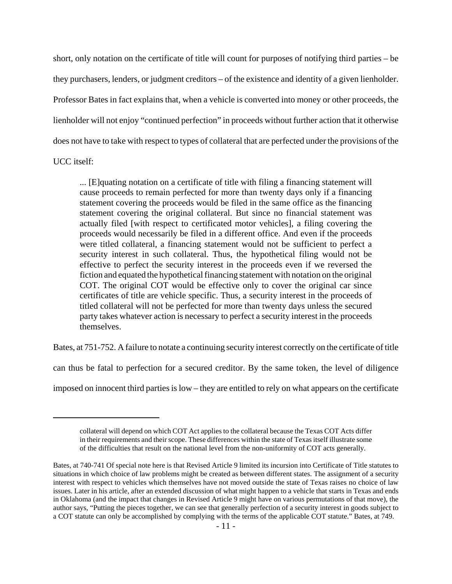short, only notation on the certificate of title will count for purposes of notifying third parties – be they purchasers, lenders, or judgment creditors – of the existence and identity of a given lienholder. Professor Bates in fact explains that, when a vehicle is converted into money or other proceeds, the lienholder will not enjoy "continued perfection" in proceeds without further action that it otherwise does not have to take with respect to types of collateral that are perfected under the provisions of the

UCC itself:

... [E]quating notation on a certificate of title with filing a financing statement will cause proceeds to remain perfected for more than twenty days only if a financing statement covering the proceeds would be filed in the same office as the financing statement covering the original collateral. But since no financial statement was actually filed [with respect to certificated motor vehicles], a filing covering the proceeds would necessarily be filed in a different office. And even if the proceeds were titled collateral, a financing statement would not be sufficient to perfect a security interest in such collateral. Thus, the hypothetical filing would not be effective to perfect the security interest in the proceeds even if we reversed the fiction and equated the hypothetical financing statement with notation on the original COT. The original COT would be effective only to cover the original car since certificates of title are vehicle specific. Thus, a security interest in the proceeds of titled collateral will not be perfected for more than twenty days unless the secured party takes whatever action is necessary to perfect a security interest in the proceeds themselves.

Bates, at 751-752. A failure to notate a continuing security interest correctly on the certificate of title

can thus be fatal to perfection for a secured creditor. By the same token, the level of diligence

imposed on innocent third parties is low – they are entitled to rely on what appears on the certificate

collateral will depend on which COT Act applies to the collateral because the Texas COT Acts differ in their requirements and their scope. These differences within the state of Texas itself illustrate some of the difficulties that result on the national level from the non-uniformity of COT acts generally.

Bates, at 740-741 Of special note here is that Revised Article 9 limited its incursion into Certificate of Title statutes to situations in which choice of law problems might be created as between different states. The assignment of a security interest with respect to vehicles which themselves have not moved outside the state of Texas raises no choice of law issues. Later in his article, after an extended discussion of what might happen to a vehicle that starts in Texas and ends in Oklahoma (and the impact that changes in Revised Article 9 might have on various permutations of that move), the author says, "Putting the pieces together, we can see that generally perfection of a security interest in goods subject to a COT statute can only be accomplished by complying with the terms of the applicable COT statute." Bates, at 749.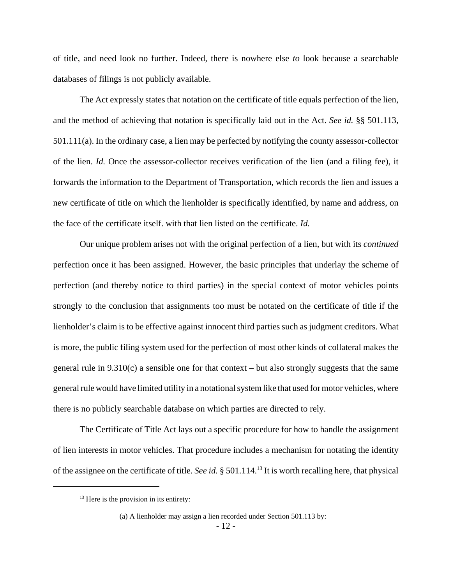of title, and need look no further. Indeed, there is nowhere else *to* look because a searchable databases of filings is not publicly available.

The Act expressly states that notation on the certificate of title equals perfection of the lien, and the method of achieving that notation is specifically laid out in the Act. *See id.* §§ 501.113, 501.111(a). In the ordinary case, a lien may be perfected by notifying the county assessor-collector of the lien. *Id.* Once the assessor-collector receives verification of the lien (and a filing fee), it forwards the information to the Department of Transportation, which records the lien and issues a new certificate of title on which the lienholder is specifically identified, by name and address, on the face of the certificate itself. with that lien listed on the certificate. *Id.*

Our unique problem arises not with the original perfection of a lien, but with its *continued* perfection once it has been assigned. However, the basic principles that underlay the scheme of perfection (and thereby notice to third parties) in the special context of motor vehicles points strongly to the conclusion that assignments too must be notated on the certificate of title if the lienholder's claim is to be effective against innocent third parties such as judgment creditors. What is more, the public filing system used for the perfection of most other kinds of collateral makes the general rule in 9.310(c) a sensible one for that context – but also strongly suggests that the same general rule would have limited utility in a notational system like that used for motor vehicles, where there is no publicly searchable database on which parties are directed to rely.

The Certificate of Title Act lays out a specific procedure for how to handle the assignment of lien interests in motor vehicles. That procedure includes a mechanism for notating the identity of the assignee on the certificate of title. *See id.* § 501.114.13 It is worth recalling here, that physical

 $13$  Here is the provision in its entirety:

<sup>(</sup>a) A lienholder may assign a lien recorded under Section 501.113 by: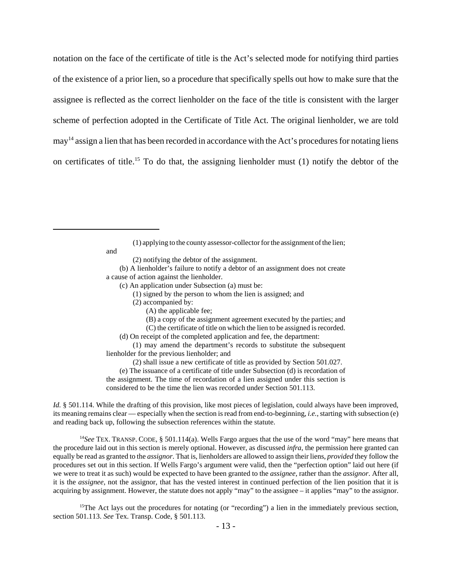notation on the face of the certificate of title is the Act's selected mode for notifying third parties of the existence of a prior lien, so a procedure that specifically spells out how to make sure that the assignee is reflected as the correct lienholder on the face of the title is consistent with the larger scheme of perfection adopted in the Certificate of Title Act. The original lienholder, we are told may<sup>14</sup> assign a lien that has been recorded in accordance with the Act's procedures for notating liens on certificates of title.<sup>15</sup> To do that, the assigning lienholder must  $(1)$  notify the debtor of the

(1) applying to the county assessor-collector for the assignment of the lien;

and

(2) notifying the debtor of the assignment.

(b) A lienholder's failure to notify a debtor of an assignment does not create a cause of action against the lienholder.

(c) An application under Subsection (a) must be:

(1) signed by the person to whom the lien is assigned; and

(2) accompanied by:

(A) the applicable fee;

(B) a copy of the assignment agreement executed by the parties; and

(C) the certificate of title on which the lien to be assigned is recorded.

(d) On receipt of the completed application and fee, the department:

(1) may amend the department's records to substitute the subsequent lienholder for the previous lienholder; and

(2) shall issue a new certificate of title as provided by Section 501.027.

(e) The issuance of a certificate of title under Subsection (d) is recordation of the assignment. The time of recordation of a lien assigned under this section is considered to be the time the lien was recorded under Section 501.113.

*Id.* § 501.114. While the drafting of this provision, like most pieces of legislation, could always have been improved, its meaning remains clear — especially when the section is read from end-to-beginning, *i.e.*, starting with subsection (e) and reading back up, following the subsection references within the statute.

<sup>14</sup>See TEX. TRANSP. CODE, § 501.114(a). Wells Fargo argues that the use of the word "may" here means that the procedure laid out in this section is merely optional. However, as discussed *infra*, the permission here granted can equally be read as granted to the *assignor*. That is, lienholders are allowed to assign their liens, *provided* they follow the procedures set out in this section. If Wells Fargo's argument were valid, then the "perfection option" laid out here (if we were to treat it as such) would be expected to have been granted to the *assignee*, rather than the *assignor*. After all, it is the *assignee*, not the assignor, that has the vested interest in continued perfection of the lien position that it is acquiring by assignment. However, the statute does not apply "may" to the assignee – it applies "may" to the assignor.

<sup>15</sup>The Act lays out the procedures for notating (or "recording") a lien in the immediately previous section, section 501.113. *See* Tex. Transp. Code, § 501.113.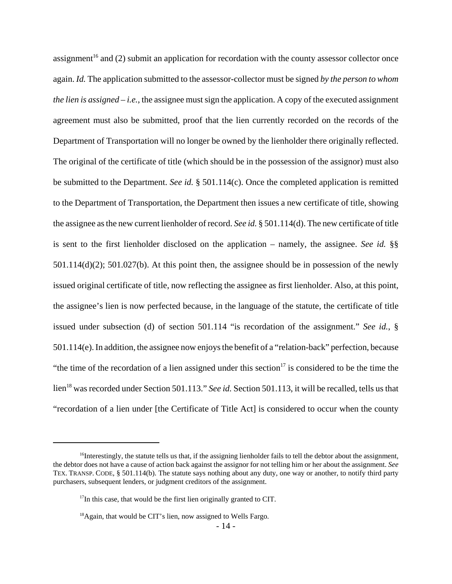assignment<sup>16</sup> and (2) submit an application for recordation with the county assessor collector once again. *Id.* The application submitted to the assessor-collector must be signed *by the person to whom the lien is assigned – i.e.*, the assignee must sign the application. A copy of the executed assignment agreement must also be submitted, proof that the lien currently recorded on the records of the Department of Transportation will no longer be owned by the lienholder there originally reflected. The original of the certificate of title (which should be in the possession of the assignor) must also be submitted to the Department. *See id.* § 501.114(c). Once the completed application is remitted to the Department of Transportation, the Department then issues a new certificate of title, showing the assignee as the new current lienholder of record. *See id.* § 501.114(d). The new certificate of title is sent to the first lienholder disclosed on the application – namely, the assignee. *See id.* §§ 501.114(d)(2); 501.027(b). At this point then, the assignee should be in possession of the newly issued original certificate of title, now reflecting the assignee as first lienholder. Also, at this point, the assignee's lien is now perfected because, in the language of the statute, the certificate of title issued under subsection (d) of section 501.114 "is recordation of the assignment." *See id.*, § 501.114(e). In addition, the assignee now enjoys the benefit of a "relation-back" perfection, because "the time of the recordation of a lien assigned under this section<sup>17</sup> is considered to be the time the lien<sup>18</sup> was recorded under Section 501.113." *See id.* Section 501.113, it will be recalled, tells us that "recordation of a lien under [the Certificate of Title Act] is considered to occur when the county

 $16$ Interestingly, the statute tells us that, if the assigning lienholder fails to tell the debtor about the assignment, the debtor does not have a cause of action back against the assignor for not telling him or her about the assignment. *See* TEX. TRANSP. CODE, § 501.114(b). The statute says nothing about any duty, one way or another, to notify third party purchasers, subsequent lenders, or judgment creditors of the assignment.

 $17$ In this case, that would be the first lien originally granted to CIT.

<sup>&</sup>lt;sup>18</sup> Again, that would be CIT's lien, now assigned to Wells Fargo.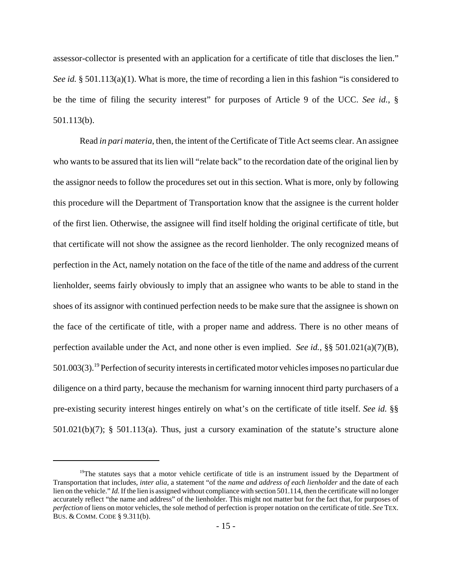assessor-collector is presented with an application for a certificate of title that discloses the lien." *See id.* § 501.113(a)(1). What is more, the time of recording a lien in this fashion "is considered to be the time of filing the security interest" for purposes of Article 9 of the UCC. *See id.*, § 501.113(b).

Read *in pari materia*, then, the intent of the Certificate of Title Act seems clear. An assignee who wants to be assured that its lien will "relate back" to the recordation date of the original lien by the assignor needs to follow the procedures set out in this section. What is more, only by following this procedure will the Department of Transportation know that the assignee is the current holder of the first lien. Otherwise, the assignee will find itself holding the original certificate of title, but that certificate will not show the assignee as the record lienholder. The only recognized means of perfection in the Act, namely notation on the face of the title of the name and address of the current lienholder, seems fairly obviously to imply that an assignee who wants to be able to stand in the shoes of its assignor with continued perfection needs to be make sure that the assignee is shown on the face of the certificate of title, with a proper name and address. There is no other means of perfection available under the Act, and none other is even implied. *See id.*, §§ 501.021(a)(7)(B), 501.003(3).19 Perfection of security interests in certificated motor vehicles imposes no particular due diligence on a third party, because the mechanism for warning innocent third party purchasers of a pre-existing security interest hinges entirely on what's on the certificate of title itself. *See id.* §§ 501.021(b)(7); § 501.113(a). Thus, just a cursory examination of the statute's structure alone

 $19$ The statutes says that a motor vehicle certificate of title is an instrument issued by the Department of Transportation that includes, *inter alia*, a statement "of the *name and address of each lienholder* and the date of each lien on the vehicle." *Id.* If the lien is assigned without compliance with section 501.114, then the certificate will no longer accurately reflect "the name and address" of the lienholder. This might not matter but for the fact that, for purposes of *perfection* of liens on motor vehicles, the sole method of perfection is proper notation on the certificate of title. *See* TEX. BUS. & COMM. CODE § 9.311(b).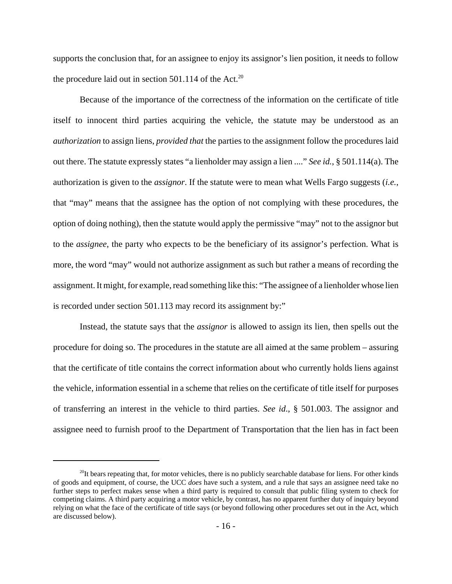supports the conclusion that, for an assignee to enjoy its assignor's lien position, it needs to follow the procedure laid out in section  $501.114$  of the Act.<sup>20</sup>

Because of the importance of the correctness of the information on the certificate of title itself to innocent third parties acquiring the vehicle, the statute may be understood as an *authorization* to assign liens, *provided that* the parties to the assignment follow the procedures laid out there. The statute expressly states "a lienholder may assign a lien ...." *See id.*, § 501.114(a). The authorization is given to the *assignor*. If the statute were to mean what Wells Fargo suggests (*i.e.*, that "may" means that the assignee has the option of not complying with these procedures, the option of doing nothing), then the statute would apply the permissive "may" not to the assignor but to the *assignee*, the party who expects to be the beneficiary of its assignor's perfection. What is more, the word "may" would not authorize assignment as such but rather a means of recording the assignment. It might, for example, read something like this: "The assignee of a lienholder whose lien is recorded under section 501.113 may record its assignment by:"

Instead, the statute says that the *assignor* is allowed to assign its lien, then spells out the procedure for doing so. The procedures in the statute are all aimed at the same problem – assuring that the certificate of title contains the correct information about who currently holds liens against the vehicle, information essential in a scheme that relies on the certificate of title itself for purposes of transferring an interest in the vehicle to third parties. *See id*., § 501.003. The assignor and assignee need to furnish proof to the Department of Transportation that the lien has in fact been

 $^{20}$ It bears repeating that, for motor vehicles, there is no publicly searchable database for liens. For other kinds of goods and equipment, of course, the UCC *does* have such a system, and a rule that says an assignee need take no further steps to perfect makes sense when a third party is required to consult that public filing system to check for competing claims. A third party acquiring a motor vehicle, by contrast, has no apparent further duty of inquiry beyond relying on what the face of the certificate of title says (or beyond following other procedures set out in the Act, which are discussed below).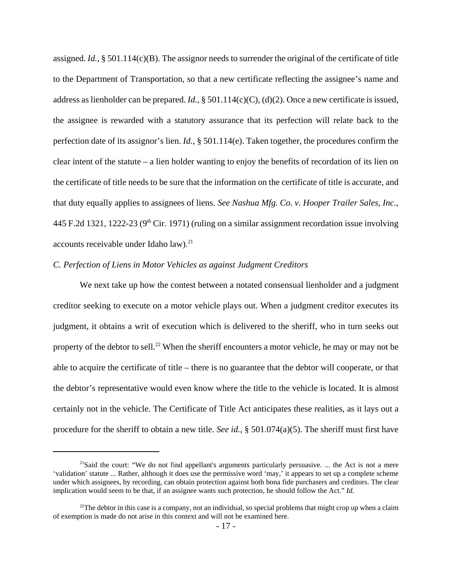assigned. *Id.*, § 501.114(c)(B). The assignor needs to surrender the original of the certificate of title to the Department of Transportation, so that a new certificate reflecting the assignee's name and address as lienholder can be prepared. *Id.*, § 501.114(c)(C), (d)(2). Once a new certificate is issued, the assignee is rewarded with a statutory assurance that its perfection will relate back to the perfection date of its assignor's lien. *Id.*, § 501.114(e). Taken together, the procedures confirm the clear intent of the statute – a lien holder wanting to enjoy the benefits of recordation of its lien on the certificate of title needs to be sure that the information on the certificate of title is accurate, and that duty equally applies to assignees of liens. *See Nashua Mfg. Co. v. Hooper Trailer Sales, Inc.,* 445 F.2d 1321, 1222-23 ( $9<sup>th</sup>$  Cir. 1971) (ruling on a similar assignment recordation issue involving accounts receivable under Idaho law).<sup>21</sup>

## *C. Perfection of Liens in Motor Vehicles as against Judgment Creditors*

We next take up how the contest between a notated consensual lienholder and a judgment creditor seeking to execute on a motor vehicle plays out. When a judgment creditor executes its judgment, it obtains a writ of execution which is delivered to the sheriff, who in turn seeks out property of the debtor to sell.<sup>22</sup> When the sheriff encounters a motor vehicle, he may or may not be able to acquire the certificate of title – there is no guarantee that the debtor will cooperate, or that the debtor's representative would even know where the title to the vehicle is located. It is almost certainly not in the vehicle. The Certificate of Title Act anticipates these realities, as it lays out a procedure for the sheriff to obtain a new title. *See id.*, § 501.074(a)(5). The sheriff must first have

<sup>&</sup>lt;sup>21</sup>Said the court: "We do not find appellant's arguments particularly persuasive. ... the Act is not a mere 'validation' statute ... Rather, although it does use the permissive word 'may,' it appears to set up a complete scheme under which assignees, by recording, can obtain protection against both bona fide purchasers and creditors. The clear implication would seem to be that, if an assignee wants such protection, he should follow the Act." *Id.*

<sup>&</sup>lt;sup>22</sup>The debtor in this case is a company, not an individual, so special problems that might crop up when a claim of exemption is made do not arise in this context and will not be examined here.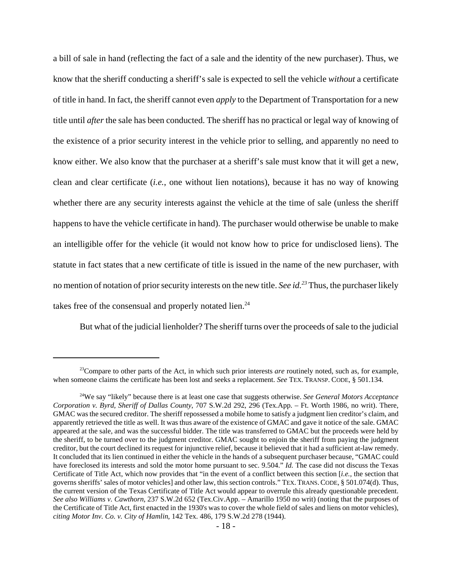a bill of sale in hand (reflecting the fact of a sale and the identity of the new purchaser). Thus, we know that the sheriff conducting a sheriff's sale is expected to sell the vehicle *without* a certificate of title in hand. In fact, the sheriff cannot even *apply* to the Department of Transportation for a new title until *after* the sale has been conducted. The sheriff has no practical or legal way of knowing of the existence of a prior security interest in the vehicle prior to selling, and apparently no need to know either. We also know that the purchaser at a sheriff's sale must know that it will get a new, clean and clear certificate (*i.e.*, one without lien notations), because it has no way of knowing whether there are any security interests against the vehicle at the time of sale (unless the sheriff happens to have the vehicle certificate in hand). The purchaser would otherwise be unable to make an intelligible offer for the vehicle (it would not know how to price for undisclosed liens). The statute in fact states that a new certificate of title is issued in the name of the new purchaser, with no mention of notation of prior security interests on the new title. *See id.23* Thus, the purchaser likely takes free of the consensual and properly notated lien.<sup>24</sup>

But what of the judicial lienholder? The sheriff turns over the proceeds of sale to the judicial

<sup>&</sup>lt;sup>23</sup>Compare to other parts of the Act, in which such prior interests *are* routinely noted, such as, for example, when someone claims the certificate has been lost and seeks a replacement. *See* TEX. TRANSP. CODE, § 501.134.

<sup>24</sup>We say "likely" because there is at least one case that suggests otherwise. *See General Motors Acceptance Corporation v. Byrd, Sheriff of Dallas County*, 707 S.W.2d 292, 296 (Tex.App. – Ft. Worth 1986, no writ). There, GMAC was the secured creditor. The sheriff repossessed a mobile home to satisfy a judgment lien creditor's claim, and apparently retrieved the title as well. It was thus aware of the existence of GMAC and gave it notice of the sale. GMAC appeared at the sale, and was the successful bidder. The title was transferred to GMAC but the proceeds were held by the sheriff, to be turned over to the judgment creditor. GMAC sought to enjoin the sheriff from paying the judgment creditor, but the court declined its request for injunctive relief, because it believed that it had a sufficient at-law remedy. It concluded that its lien continued in either the vehicle in the hands of a subsequent purchaser because, "GMAC could have foreclosed its interests and sold the motor home pursuant to sec. 9.504." *Id.* The case did not discuss the Texas Certificate of Title Act, which now provides that "in the event of a conflict between this section [*i.e.,* the section that governs sheriffs' sales of motor vehicles] and other law, this section controls." TEX. TRANS.CODE, § 501.074(d). Thus, the current version of the Texas Certificate of Title Act would appear to overrule this already questionable precedent. *See also Williams v. Cawthorn*, 237 S.W.2d 652 (Tex.Civ.App. – Amarillo 1950 no writ) (noting that the purposes of the Certificate of Title Act, first enacted in the 1930's was to cover the whole field of sales and liens on motor vehicles), *citing Motor Inv. Co. v. City of Hamlin*, 142 Tex. 486, 179 S.W.2d 278 (1944).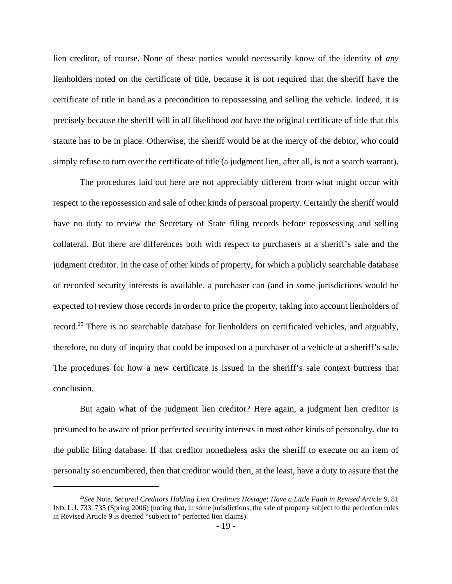lien creditor, of course. None of these parties would necessarily know of the identity of *any* lienholders noted on the certificate of title, because it is not required that the sheriff have the certificate of title in hand as a precondition to repossessing and selling the vehicle. Indeed, it is precisely because the sheriff will in all likelihood *not* have the original certificate of title that this statute has to be in place. Otherwise, the sheriff would be at the mercy of the debtor, who could simply refuse to turn over the certificate of title (a judgment lien, after all, is not a search warrant).

The procedures laid out here are not appreciably different from what might occur with respect to the repossession and sale of other kinds of personal property. Certainly the sheriff would have no duty to review the Secretary of State filing records before repossessing and selling collateral. But there are differences both with respect to purchasers at a sheriff's sale and the judgment creditor. In the case of other kinds of property, for which a publicly searchable database of recorded security interests is available, a purchaser can (and in some jurisdictions would be expected to) review those records in order to price the property, taking into account lienholders of record.<sup>25</sup> There is no searchable database for lienholders on certificated vehicles, and arguably, therefore, no duty of inquiry that could be imposed on a purchaser of a vehicle at a sheriff's sale. The procedures for how a new certificate is issued in the sheriff's sale context buttress that conclusion.

But again what of the judgment lien creditor? Here again, a judgment lien creditor is presumed to be aware of prior perfected security interests in most other kinds of personalty, due to the public filing database. If that creditor nonetheless asks the sheriff to execute on an item of personalty so encumbered, then that creditor would then, at the least, have a duty to assure that the

<sup>25</sup>*See* Note, *Secured Creditors Holding Lien Creditors Hostage: Have a Little Faith in Revised Article 9*, 81 IND. L.J. 733, 735 (Spring 2006) (noting that, in some jurisdictions, the sale of property subject to the perfection rules in Revised Article 9 is deemed "subject to" perfected lien claims).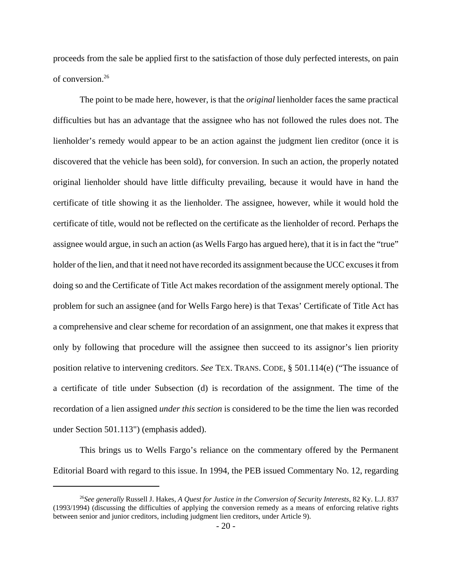proceeds from the sale be applied first to the satisfaction of those duly perfected interests, on pain of conversion.26

The point to be made here, however, is that the *original* lienholder faces the same practical difficulties but has an advantage that the assignee who has not followed the rules does not. The lienholder's remedy would appear to be an action against the judgment lien creditor (once it is discovered that the vehicle has been sold), for conversion. In such an action, the properly notated original lienholder should have little difficulty prevailing, because it would have in hand the certificate of title showing it as the lienholder. The assignee, however, while it would hold the certificate of title, would not be reflected on the certificate as the lienholder of record. Perhaps the assignee would argue, in such an action (as Wells Fargo has argued here), that it is in fact the "true" holder of the lien, and that it need not have recorded its assignment because the UCC excuses it from doing so and the Certificate of Title Act makes recordation of the assignment merely optional. The problem for such an assignee (and for Wells Fargo here) is that Texas' Certificate of Title Act has a comprehensive and clear scheme for recordation of an assignment, one that makes it express that only by following that procedure will the assignee then succeed to its assignor's lien priority position relative to intervening creditors. *See* TEX. TRANS. CODE, § 501.114(e) ("The issuance of a certificate of title under Subsection (d) is recordation of the assignment. The time of the recordation of a lien assigned *under this section* is considered to be the time the lien was recorded under Section 501.113") (emphasis added).

This brings us to Wells Fargo's reliance on the commentary offered by the Permanent Editorial Board with regard to this issue. In 1994, the PEB issued Commentary No. 12, regarding

<sup>26</sup>*See generally* Russell J. Hakes, *A Quest for Justice in the Conversion of Security Interests*, 82 Ky. L.J. 837 (1993/1994) (discussing the difficulties of applying the conversion remedy as a means of enforcing relative rights between senior and junior creditors, including judgment lien creditors, under Article 9).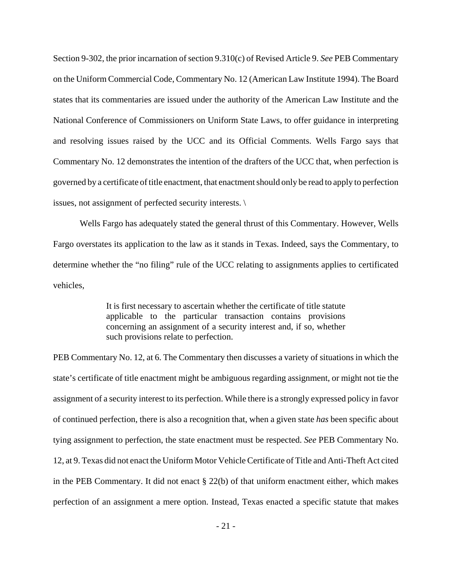Section 9-302, the prior incarnation of section 9.310(c) of Revised Article 9. *See* PEB Commentary on the Uniform Commercial Code, Commentary No. 12 (American Law Institute 1994). The Board states that its commentaries are issued under the authority of the American Law Institute and the National Conference of Commissioners on Uniform State Laws, to offer guidance in interpreting and resolving issues raised by the UCC and its Official Comments. Wells Fargo says that Commentary No. 12 demonstrates the intention of the drafters of the UCC that, when perfection is governed by a certificate of title enactment, that enactment should only be read to apply to perfection issues, not assignment of perfected security interests. \

Wells Fargo has adequately stated the general thrust of this Commentary. However, Wells Fargo overstates its application to the law as it stands in Texas. Indeed, says the Commentary, to determine whether the "no filing" rule of the UCC relating to assignments applies to certificated vehicles,

> It is first necessary to ascertain whether the certificate of title statute applicable to the particular transaction contains provisions concerning an assignment of a security interest and, if so, whether such provisions relate to perfection.

PEB Commentary No. 12, at 6. The Commentary then discusses a variety of situations in which the state's certificate of title enactment might be ambiguous regarding assignment, or might not tie the assignment of a security interest to its perfection. While there is a strongly expressed policy in favor of continued perfection, there is also a recognition that, when a given state *has* been specific about tying assignment to perfection, the state enactment must be respected. *See* PEB Commentary No. 12, at 9. Texas did not enact the Uniform Motor Vehicle Certificate of Title and Anti-Theft Act cited in the PEB Commentary. It did not enact  $\S 22(b)$  of that uniform enactment either, which makes perfection of an assignment a mere option. Instead, Texas enacted a specific statute that makes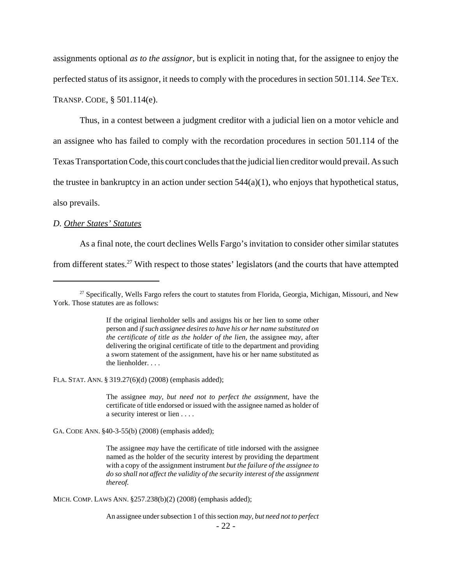assignments optional *as to the assignor*, but is explicit in noting that, for the assignee to enjoy the perfected status of its assignor, it needs to comply with the procedures in section 501.114. *See* TEX. TRANSP. CODE, § 501.114(e).

Thus, in a contest between a judgment creditor with a judicial lien on a motor vehicle and an assignee who has failed to comply with the recordation procedures in section 501.114 of the Texas Transportation Code, this court concludes that the judicial lien creditor would prevail. As such the trustee in bankruptcy in an action under section  $544(a)(1)$ , who enjoys that hypothetical status, also prevails.

### *D. Other States' Statutes*

As a final note, the court declines Wells Fargo's invitation to consider other similar statutes from different states.27 With respect to those states' legislators (and the courts that have attempted

If the original lienholder sells and assigns his or her lien to some other person and *if such assignee desires to have his or her name substituted on the certificate of title as the holder of the lien,* the assignee *may,* after delivering the original certificate of title to the department and providing a sworn statement of the assignment, have his or her name substituted as the lienholder. . . .

FLA. STAT. ANN. § 319.27(6)(d) (2008) (emphasis added);

The assignee *may, but need not to perfect the assignment,* have the certificate of title endorsed or issued with the assignee named as holder of a security interest or lien . . . .

GA. CODE ANN. §40-3-55(b) (2008) (emphasis added);

The assignee *may* have the certificate of title indorsed with the assignee named as the holder of the security interest by providing the department with a copy of the assignment instrument *but the failure of the assignee to do so shall not affect the validity of the security interest of the assignment thereof.*

MICH. COMP. LAWS ANN. §257.238(b)(2) (2008) (emphasis added);

An assignee under subsection 1 of this section *may, but need not to perfect*  $-22-$ 

 $27$  Specifically, Wells Fargo refers the court to statutes from Florida, Georgia, Michigan, Missouri, and New York. Those statutes are as follows: